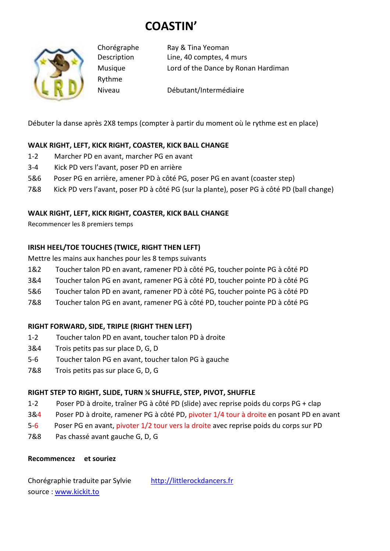# **COASTIN'**



Rythme

Chorégraphe Ray & Tina Yeoman Description Line, 40 comptes, 4 murs Musique Lord of the Dance by Ronan Hardiman

Niveau Débutant/Intermédiaire

Débuter la danse après 2X8 temps (compter à partir du moment où le rythme est en place)

## **WALK RIGHT, LEFT, KICK RIGHT, COASTER, KICK BALL CHANGE**

- 1-2 Marcher PD en avant, marcher PG en avant
- 3-4 Kick PD vers l'avant, poser PD en arrière
- 5&6 Poser PG en arrière, amener PD à côté PG, poser PG en avant (coaster step)
- 7&8 Kick PD vers l'avant, poser PD à côté PG (sur la plante), poser PG à côté PD (ball change)

## **WALK RIGHT, LEFT, KICK RIGHT, COASTER, KICK BALL CHANGE**

Recommencer les 8 premiers temps

## **IRISH HEEL/TOE TOUCHES (TWICE, RIGHT THEN LEFT)**

Mettre les mains aux hanches pour les 8 temps suivants

- 1&2 Toucher talon PD en avant, ramener PD à côté PG, toucher pointe PG à côté PD
- 3&4 Toucher talon PG en avant, ramener PG à côté PD, toucher pointe PD à côté PG
- 5&6 Toucher talon PD en avant, ramener PD à côté PG, toucher pointe PG à côté PD
- 7&8 Toucher talon PG en avant, ramener PG à côté PD, toucher pointe PD à côté PG

### **RIGHT FORWARD, SIDE, TRIPLE (RIGHT THEN LEFT)**

- 1-2 Toucher talon PD en avant, toucher talon PD à droite
- 3&4 Trois petits pas sur place D, G, D
- 5-6 Toucher talon PG en avant, toucher talon PG à gauche
- 7&8 Trois petits pas sur place G, D, G

### **RIGHT STEP TO RIGHT, SLIDE, TURN ¼ SHUFFLE, STEP, PIVOT, SHUFFLE**

- 1-2 Poser PD à droite, traîner PG à côté PD (slide) avec reprise poids du corps PG + clap
- 3&4 Poser PD à droite, ramener PG à côté PD, pivoter 1/4 tour à droite en posant PD en avant
- 5-6 Poser PG en avant, pivoter 1/2 tour vers la droite avec reprise poids du corps sur PD
- 7&8 Pas chassé avant gauche G, D, G

### **Recommencez et souriez**

Chorégraphie traduite par Sylvie http://littlerockdancers.fr source : www.kickit.to